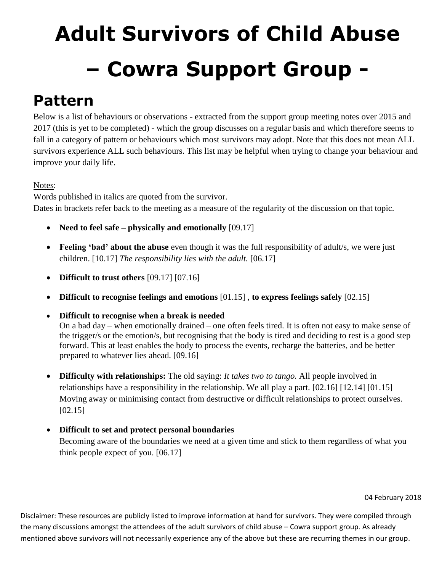# **Adult Survivors of Child Abuse – Cowra Support Group -**

# **Pattern**

Below is a list of behaviours or observations - extracted from the support group meeting notes over 2015 and 2017 (this is yet to be completed) - which the group discusses on a regular basis and which therefore seems to fall in a category of pattern or behaviours which most survivors may adopt. Note that this does not mean ALL survivors experience ALL such behaviours. This list may be helpful when trying to change your behaviour and improve your daily life.

## Notes:

Words published in italics are quoted from the survivor. Dates in brackets refer back to the meeting as a measure of the regularity of the discussion on that topic.

- Need to feel safe *physically and emotionally* [09.17]
- **Feeling 'bad' about the abuse** even though it was the full responsibility of adult/s, we were just children. [10.17] *The responsibility lies with the adult.* [06.17]
- **Difficult to trust others** [09.17] [07.16]
- **Difficult to recognise feelings and emotions** [01.15] , **to express feelings safely** [02.15]
- **Difficult to recognise when a break is needed** On a bad day – when emotionally drained – one often feels tired. It is often not easy to make sense of the trigger/s or the emotion/s, but recognising that the body is tired and deciding to rest is a good step forward. This at least enables the body to process the events, recharge the batteries, and be better prepared to whatever lies ahead. [09.16]
- **Difficulty with relationships:** The old saying: *It takes two to tango.* All people involved in relationships have a responsibility in the relationship. We all play a part. [02.16] [12.14] [01.15] Moving away or minimising contact from destructive or difficult relationships to protect ourselves. [02.15]
- **Difficult to set and protect personal boundaries** Becoming aware of the boundaries we need at a given time and stick to them regardless of what you think people expect of you. [06.17]

#### 04 February 2018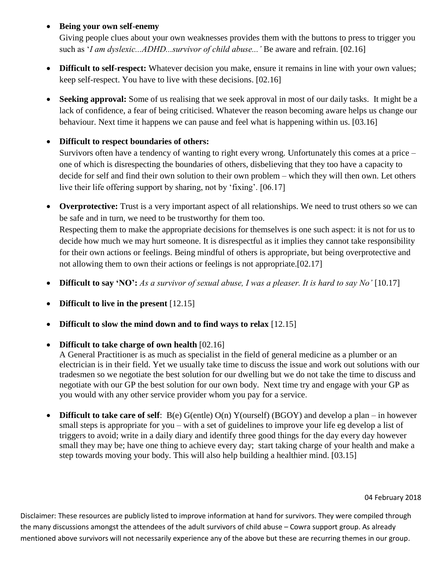**Being your own self-enemy**

Giving people clues about your own weaknesses provides them with the buttons to press to trigger you such as '*I am dyslexic...ADHD...survivor of child abuse...'* Be aware and refrain. [02.16]

- **Difficult to self-respect:** Whatever decision you make, ensure it remains in line with your own values; keep self-respect. You have to live with these decisions. [02.16]
- Seeking approval: Some of us realising that we seek approval in most of our daily tasks. It might be a lack of confidence, a fear of being criticised. Whatever the reason becoming aware helps us change our behaviour. Next time it happens we can pause and feel what is happening within us. [03.16]

## **Difficult to respect boundaries of others:**

Survivors often have a tendency of wanting to right every wrong. Unfortunately this comes at a price – one of which is disrespecting the boundaries of others, disbelieving that they too have a capacity to decide for self and find their own solution to their own problem – which they will then own. Let others live their life offering support by sharing, not by 'fixing'. [06.17]

- **Overprotective:** Trust is a very important aspect of all relationships. We need to trust others so we can be safe and in turn, we need to be trustworthy for them too. Respecting them to make the appropriate decisions for themselves is one such aspect: it is not for us to decide how much we may hurt someone. It is disrespectful as it implies they cannot take responsibility for their own actions or feelings. Being mindful of others is appropriate, but being overprotective and not allowing them to own their actions or feelings is not appropriate.[02.17]
- **Difficult to say 'NO':** *As a survivor of sexual abuse, I was a pleaser. It is hard to say No'* [10.17]
- **Difficult to live in the present** [12.15]
- **Difficult to slow the mind down and to find ways to relax** [12.15]
- **Difficult to take charge of own health** [02.16]

A General Practitioner is as much as specialist in the field of general medicine as a plumber or an electrician is in their field. Yet we usually take time to discuss the issue and work out solutions with our tradesmen so we negotiate the best solution for our dwelling but we do not take the time to discuss and negotiate with our GP the best solution for our own body. Next time try and engage with your GP as you would with any other service provider whom you pay for a service.

 **Difficult to take care of self**: B(e) G(entle) O(n) Y(ourself) (BGOY) and develop a plan – in however small steps is appropriate for you – with a set of guidelines to improve your life eg develop a list of triggers to avoid; write in a daily diary and identify three good things for the day every day however small they may be; have one thing to achieve every day; start taking charge of your health and make a step towards moving your body. This will also help building a healthier mind. [03.15]

#### 04 February 2018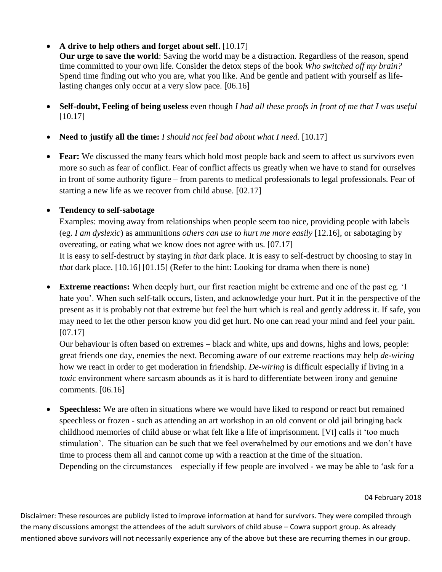## • A drive to help others and forget about self. [10.17]

**Our urge to save the world**: Saving the world may be a distraction. Regardless of the reason, spend time committed to your own life. Consider the detox steps of the book *Who switched off my brain?* Spend time finding out who you are, what you like. And be gentle and patient with yourself as lifelasting changes only occur at a very slow pace. [06.16]

- **Self-doubt, Feeling of being useless** even though *I had all these proofs in front of me that I was useful*  [10.17]
- **Need to justify all the time:** *I should not feel bad about what I need.* [10.17]
- **Fear:** We discussed the many fears which hold most people back and seem to affect us survivors even more so such as fear of conflict. Fear of conflict affects us greatly when we have to stand for ourselves in front of some authority figure – from parents to medical professionals to legal professionals. Fear of starting a new life as we recover from child abuse. [02.17]

# **Tendency to self-sabotage**

Examples: moving away from relationships when people seem too nice, providing people with labels (eg. *I am dyslexic*) as ammunitions *others can use to hurt me more easily* [12.16], or sabotaging by overeating, or eating what we know does not agree with us. [07.17]

It is easy to self-destruct by staying in *that* dark place. It is easy to self-destruct by choosing to stay in *that* dark place. [10.16] [01.15] (Refer to the hint: Looking for drama when there is none)

 **Extreme reactions:** When deeply hurt, our first reaction might be extreme and one of the past eg. 'I hate you'. When such self-talk occurs, listen, and acknowledge your hurt. Put it in the perspective of the present as it is probably not that extreme but feel the hurt which is real and gently address it. If safe, you may need to let the other person know you did get hurt. No one can read your mind and feel your pain. [07.17]

Our behaviour is often based on extremes – black and white, ups and downs, highs and lows, people: great friends one day, enemies the next. Becoming aware of our extreme reactions may help *de-wiring* how we react in order to get moderation in friendship. *De-wiring* is difficult especially if living in a *toxic* environment where sarcasm abounds as it is hard to differentiate between irony and genuine comments. [06.16]

• **Speechless:** We are often in situations where we would have liked to respond or react but remained speechless or frozen - such as attending an art workshop in an old convent or old jail bringing back childhood memories of child abuse or what felt like a life of imprisonment. [Vt] calls it 'too much stimulation'. The situation can be such that we feel overwhelmed by our emotions and we don't have time to process them all and cannot come up with a reaction at the time of the situation. Depending on the circumstances – especially if few people are involved - we may be able to 'ask for a

#### 04 February 2018